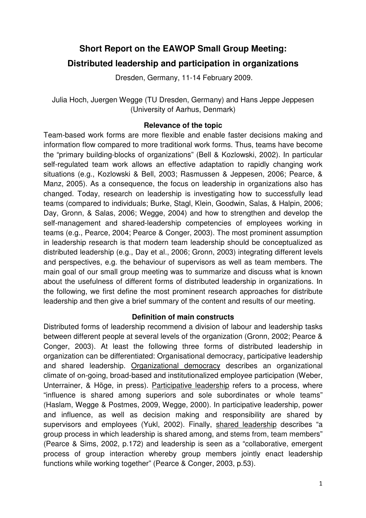# **Short Report on the EAWOP Small Group Meeting:**

# **Distributed leadership and participation in organizations**

Dresden, Germany, 11-14 February 2009.

Julia Hoch, Juergen Wegge (TU Dresden, Germany) and Hans Jeppe Jeppesen (University of Aarhus, Denmark)

# **Relevance of the topic**

Team-based work forms are more flexible and enable faster decisions making and information flow compared to more traditional work forms. Thus, teams have become the "primary building-blocks of organizations" (Bell & Kozlowski, 2002). In particular self-regulated team work allows an effective adaptation to rapidly changing work situations (e.g., Kozlowski & Bell, 2003; Rasmussen & Jeppesen, 2006; Pearce, & Manz, 2005). As a consequence, the focus on leadership in organizations also has changed. Today, research on leadership is investigating how to successfully lead teams (compared to individuals; Burke, Stagl, Klein, Goodwin, Salas, & Halpin, 2006; Day, Gronn, & Salas, 2006; Wegge, 2004) and how to strengthen and develop the self-management and shared-leadership competencies of employees working in teams (e.g., Pearce, 2004; Pearce & Conger, 2003). The most prominent assumption in leadership research is that modern team leadership should be conceptualized as distributed leadership (e.g., Day et al., 2006; Gronn, 2003) integrating different levels and perspectives, e.g. the behaviour of supervisors as well as team members. The main goal of our small group meeting was to summarize and discuss what is known about the usefulness of different forms of distributed leadership in organizations. In the following, we first define the most prominent research approaches for distribute leadership and then give a brief summary of the content and results of our meeting.

# **Definition of main constructs**

Distributed forms of leadership recommend a division of labour and leadership tasks between different people at several levels of the organization (Gronn, 2002; Pearce & Conger, 2003). At least the following three forms of distributed leadership in organization can be differentiated: Organisational democracy, participative leadership and shared leadership. Organizational democracy describes an organizational climate of on-going, broad-based and institutionalized employee participation (Weber, Unterrainer, & Höge, in press). Participative leadership refers to a process, where "influence is shared among superiors and sole subordinates or whole teams" (Haslam, Wegge & Postmes, 2009, Wegge, 2000). In participative leadership, power and influence, as well as decision making and responsibility are shared by supervisors and employees (Yukl, 2002). Finally, shared leadership describes "a group process in which leadership is shared among, and stems from, team members" (Pearce & Sims, 2002, p.172) and leadership is seen as a "collaborative, emergent process of group interaction whereby group members jointly enact leadership functions while working together" (Pearce & Conger, 2003, p.53).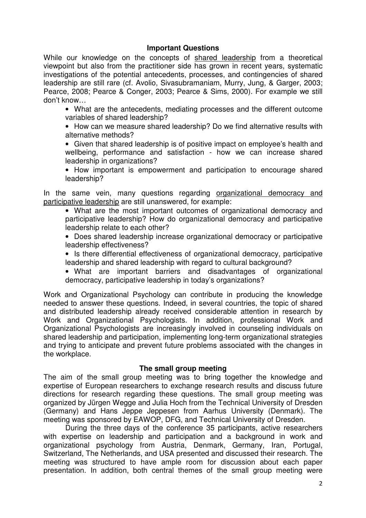#### **Important Questions**

While our knowledge on the concepts of shared leadership from a theoretical viewpoint but also from the practitioner side has grown in recent years, systematic investigations of the potential antecedents, processes, and contingencies of shared leadership are still rare (cf. Avolio, Sivasubramaniam, Murry, Jung, & Garger, 2003; Pearce, 2008; Pearce & Conger, 2003; Pearce & Sims, 2000). For example we still don't know…

• What are the antecedents, mediating processes and the different outcome variables of shared leadership?

• How can we measure shared leadership? Do we find alternative results with alternative methods?

• Given that shared leadership is of positive impact on employee's health and wellbeing, performance and satisfaction - how we can increase shared leadership in organizations?

• How important is empowerment and participation to encourage shared leadership?

In the same vein, many questions regarding organizational democracy and participative leadership are still unanswered, for example:

- What are the most important outcomes of organizational democracy and participative leadership? How do organizational democracy and participative leadership relate to each other?
- Does shared leadership increase organizational democracy or participative leadership effectiveness?
- Is there differential effectiveness of organizational democracy, participative leadership and shared leadership with regard to cultural background?
- What are important barriers and disadvantages of organizational democracy, participative leadership in today's organizations?

Work and Organizational Psychology can contribute in producing the knowledge needed to answer these questions. Indeed, in several countries, the topic of shared and distributed leadership already received considerable attention in research by Work and Organizational Psychologists. In addition, professional Work and Organizational Psychologists are increasingly involved in counseling individuals on shared leadership and participation, implementing long-term organizational strategies and trying to anticipate and prevent future problems associated with the changes in the workplace.

#### **The small group meeting**

The aim of the small group meeting was to bring together the knowledge and expertise of European researchers to exchange research results and discuss future directions for research regarding these questions. The small group meeting was organized by Jürgen Wegge and Julia Hoch from the Technical University of Dresden (Germany) and Hans Jeppe Jeppesen from Aarhus University (Denmark). The meeting was sponsored by EAWOP, DFG, and Technical University of Dresden.

 During the three days of the conference 35 participants, active researchers with expertise on leadership and participation and a background in work and organizational psychology from Austria, Denmark, Germany, Iran, Portugal, Switzerland, The Netherlands, and USA presented and discussed their research. The meeting was structured to have ample room for discussion about each paper presentation. In addition, both central themes of the small group meeting were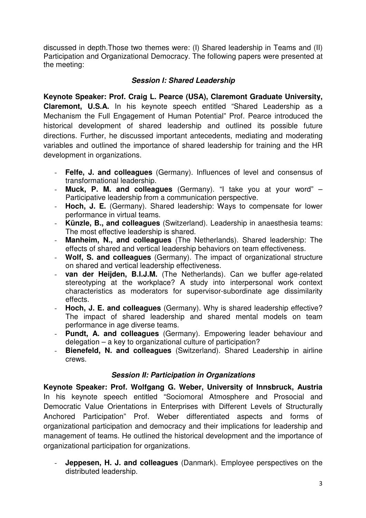discussed in depth.Those two themes were: (I) Shared leadership in Teams and (II) Participation and Organizational Democracy. The following papers were presented at the meeting:

# **Session I: Shared Leadership**

**Keynote Speaker: Prof. Craig L. Pearce (USA), Claremont Graduate University, Claremont, U.S.A.** In his keynote speech entitled "Shared Leadership as a Mechanism the Full Engagement of Human Potential" Prof. Pearce introduced the historical development of shared leadership and outlined its possible future directions. Further, he discussed important antecedents, mediating and moderating variables and outlined the importance of shared leadership for training and the HR development in organizations.

- **Felfe, J. and colleagues** (Germany). Influences of level and consensus of transformational leadership.
- **Muck, P. M. and colleagues** (Germany). "I take you at your word" Participative leadership from a communication perspective.
- **Hoch, J. E.** (Germany). Shared leadership: Ways to compensate for lower performance in virtual teams.
- **Künzle, B., and colleagues** (Switzerland). Leadership in anaesthesia teams: The most effective leadership is shared.
- **Manheim, N., and colleagues** (The Netherlands). Shared leadership: The effects of shared and vertical leadership behaviors on team effectiveness.
- **Wolf, S. and colleagues** (Germany). The impact of organizational structure on shared and vertical leadership effectiveness.
- **van der Heijden, B.I.J.M.** (The Netherlands). Can we buffer age-related stereotyping at the workplace? A study into interpersonal work context characteristics as moderators for supervisor-subordinate age dissimilarity effects.
- **Hoch, J. E. and colleagues** (Germany). Why is shared leadership effective? The impact of shared leadership and shared mental models on team performance in age diverse teams.
- **Pundt, A. and colleagues** (Germany). Empowering leader behaviour and delegation – a key to organizational culture of participation?
- **Bienefeld, N. and colleagues** (Switzerland). Shared Leadership in airline crews.

# **Session II: Participation in Organizations**

**Keynote Speaker: Prof. Wolfgang G. Weber, University of Innsbruck, Austria**  In his keynote speech entitled "Sociomoral Atmosphere and Prosocial and Democratic Value Orientations in Enterprises with Different Levels of Structurally Anchored Participation" Prof. Weber differentiated aspects and forms of organizational participation and democracy and their implications for leadership and management of teams. He outlined the historical development and the importance of organizational participation for organizations.

**Jeppesen, H. J. and colleagues** (Danmark). Employee perspectives on the distributed leadership.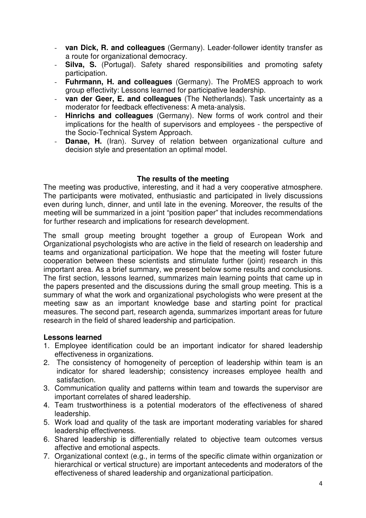- **van Dick, R. and colleagues** (Germany). Leader-follower identity transfer as a route for organizational democracy.
- **Silva, S.** (Portugal). Safety shared responsibilities and promoting safety participation.
- **Fuhrmann, H. and colleagues** (Germany). The ProMES approach to work group effectivity: Lessons learned for participative leadership.
- **van der Geer, E. and colleagues** (The Netherlands). Task uncertainty as a moderator for feedback effectiveness: A meta-analysis.
- **Hinrichs and colleagues** (Germany). New forms of work control and their implications for the health of supervisors and employees - the perspective of the Socio-Technical System Approach.
- **Danae, H.** (Iran). Survey of relation between organizational culture and decision style and presentation an optimal model.

#### **The results of the meeting**

The meeting was productive, interesting, and it had a very cooperative atmosphere. The participants were motivated, enthusiastic and participated in lively discussions even during lunch, dinner, and until late in the evening. Moreover, the results of the meeting will be summarized in a joint "position paper" that includes recommendations for further research and implications for research development.

The small group meeting brought together a group of European Work and Organizational psychologists who are active in the field of research on leadership and teams and organizational participation. We hope that the meeting will foster future cooperation between these scientists and stimulate further (joint) research in this important area. As a brief summary, we present below some results and conclusions. The first section, lessons learned, summarizes main learning points that came up in the papers presented and the discussions during the small group meeting. This is a summary of what the work and organizational psychologists who were present at the meeting saw as an important knowledge base and starting point for practical measures. The second part, research agenda, summarizes important areas for future research in the field of shared leadership and participation.

#### **Lessons learned**

- 1. Employee identification could be an important indicator for shared leadership effectiveness in organizations.
- 2. The consistency of homogeneity of perception of leadership within team is an indicator for shared leadership; consistency increases employee health and satisfaction.
- 3. Communication quality and patterns within team and towards the supervisor are important correlates of shared leadership.
- 4. Team trustworthiness is a potential moderators of the effectiveness of shared leadership.
- 5. Work load and quality of the task are important moderating variables for shared leadership effectiveness.
- 6. Shared leadership is differentially related to objective team outcomes versus affective and emotional aspects.
- 7. Organizational context (e.g., in terms of the specific climate within organization or hierarchical or vertical structure) are important antecedents and moderators of the effectiveness of shared leadership and organizational participation.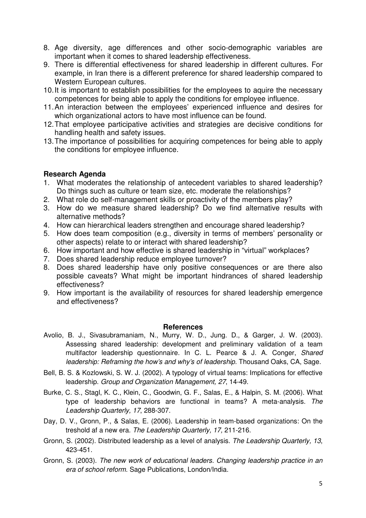- 8. Age diversity, age differences and other socio-demographic variables are important when it comes to shared leadership effectiveness.
- 9. There is differential effectiveness for shared leadership in different cultures. For example, in Iran there is a different preference for shared leadership compared to Western European cultures.
- 10. It is important to establish possibilities for the employees to aquire the necessary competences for being able to apply the conditions for employee influence.
- 11. An interaction between the employees' experienced influence and desires for which organizational actors to have most influence can be found.
- 12. That employee participative activities and strategies are decisive conditions for handling health and safety issues.
- 13. The importance of possibilities for acquiring competences for being able to apply the conditions for employee influence.

# **Research Agenda**

- 1. What moderates the relationship of antecedent variables to shared leadership? Do things such as culture or team size, etc. moderate the relationships?
- 2. What role do self-management skills or proactivity of the members play?
- 3. How do we measure shared leadership? Do we find alternative results with alternative methods?
- 4. How can hierarchical leaders strengthen and encourage shared leadership?
- 5. How does team composition (e.g., diversity in terms of members' personality or other aspects) relate to or interact with shared leadership?
- 6. How important and how effective is shared leadership in "virtual" workplaces?
- 7. Does shared leadership reduce employee turnover?
- 8. Does shared leadership have only positive consequences or are there also possible caveats? What might be important hindrances of shared leadership effectiveness?
- 9. How important is the availability of resources for shared leadership emergence and effectiveness?

#### **References**

- Avolio, B. J., Sivasubramaniam, N., Murry, W. D., Jung. D., & Garger, J. W. (2003). Assessing shared leadership: development and preliminary validation of a team multifactor leadership questionnaire. In C. L. Pearce & J. A. Conger, Shared leadership: Reframing the how's and why's of leadership. Thousand Oaks, CA, Sage.
- Bell, B. S. & Kozlowski, S. W. J. (2002). A typology of virtual teams: Implications for effective leadership. Group and Organization Management, 27, 14-49.
- Burke, C. S., Stagl, K. C., Klein, C., Goodwin, G. F., Salas, E., & Halpin, S. M. (2006). What type of leadership behaviors are functional in teams? A meta-analysis. The Leadership Quarterly, 17, 288-307.
- Day, D. V., Gronn, P., & Salas, E. (2006). Leadership in team-based organizations: On the treshold af a new era. The Leadership Quarterly, 17, 211-216.
- Gronn, S. (2002). Distributed leadership as a level of analysis. The Leadership Quarterly, 13, 423-451.
- Gronn, S. (2003). The new work of educational leaders. Changing leadership practice in an era of school reform. Sage Publications, London/India.